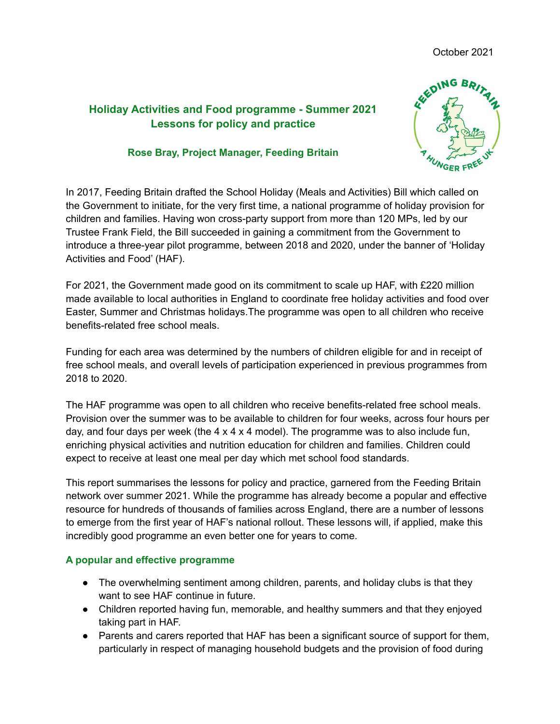# **Holiday Activities and Food programme - Summer 2021 Lessons for policy and practice**

#### **Rose Bray, Project Manager, Feeding Britain**



In 2017, Feeding Britain drafted the School Holiday (Meals and Activities) Bill which called on the Government to initiate, for the very first time, a national programme of holiday provision for children and families. Having won cross-party support from more than 120 MPs, led by our Trustee Frank Field, the Bill succeeded in gaining a commitment from the Government to introduce a three-year pilot programme, between 2018 and 2020, under the banner of 'Holiday Activities and Food' (HAF).

For 2021, the Government made good on its commitment to scale up HAF, with £220 million made available to local authorities in England to coordinate free holiday activities and food over Easter, Summer and Christmas holidays.The programme was open to all children who receive benefits-related free school meals.

Funding for each area was determined by the numbers of children eligible for and in receipt of free school meals, and overall levels of participation experienced in previous programmes from 2018 to 2020.

The HAF programme was open to all children who receive benefits-related free school meals. Provision over the summer was to be available to children for four weeks, across four hours per day, and four days per week (the  $4 \times 4 \times 4$  model). The programme was to also include fun, enriching physical activities and nutrition education for children and families. Children could expect to receive at least one meal per day which met school food standards.

This report summarises the lessons for policy and practice, garnered from the Feeding Britain network over summer 2021. While the programme has already become a popular and effective resource for hundreds of thousands of families across England, there are a number of lessons to emerge from the first year of HAF's national rollout. These lessons will, if applied, make this incredibly good programme an even better one for years to come.

## **A popular and effective programme**

- The overwhelming sentiment among children, parents, and holiday clubs is that they want to see HAF continue in future.
- Children reported having fun, memorable, and healthy summers and that they enjoyed taking part in HAF.
- Parents and carers reported that HAF has been a significant source of support for them, particularly in respect of managing household budgets and the provision of food during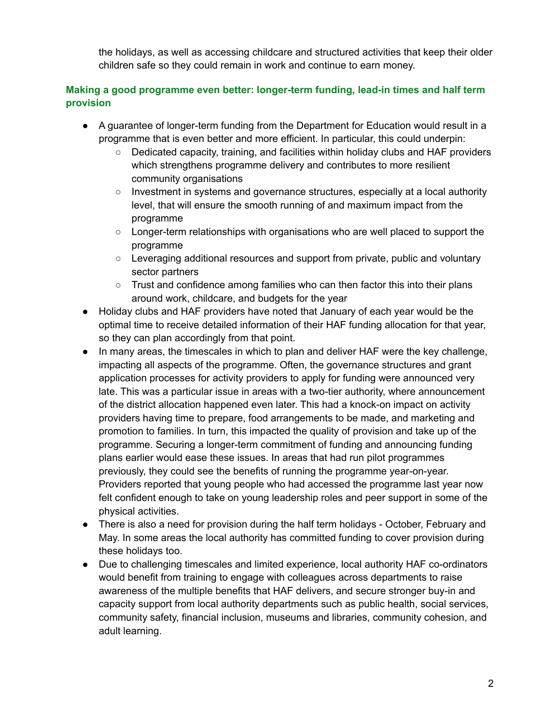the holidays, as well as accessing childcare and structured activities that keep their older children safe so they could remain in work and continue to earn money.

# **Making a good programme even better: longer-term funding, lead-in times and half term provision**

- A guarantee of longer-term funding from the Department for Education would result in a programme that is even better and more efficient. In particular, this could underpin:
	- Dedicated capacity, training, and facilities within holiday clubs and HAF providers which strengthens programme delivery and contributes to more resilient community organisations
	- Investment in systems and governance structures, especially at a local authority level, that will ensure the smooth running of and maximum impact from the programme
	- Longer-term relationships with organisations who are well placed to support the programme
	- Leveraging additional resources and support from private, public and voluntary sector partners
	- $\circ$  Trust and confidence among families who can then factor this into their plans around work, childcare, and budgets for the year
- Holiday clubs and HAF providers have noted that January of each year would be the optimal time to receive detailed information of their HAF funding allocation for that year, so they can plan accordingly from that point.
- In many areas, the timescales in which to plan and deliver HAF were the key challenge, impacting all aspects of the programme. Often, the governance structures and grant application processes for activity providers to apply for funding were announced very late. This was a particular issue in areas with a two-tier authority, where announcement of the district allocation happened even later. This had a knock-on impact on activity providers having time to prepare, food arrangements to be made, and marketing and promotion to families. In turn, this impacted the quality of provision and take up of the programme. Securing a longer-term commitment of funding and announcing funding plans earlier would ease these issues. In areas that had run pilot programmes previously, they could see the benefits of running the programme year-on-year. Providers reported that young people who had accessed the programme last year now felt confident enough to take on young leadership roles and peer support in some of the physical activities.
- There is also a need for provision during the half term holidays October, February and May. In some areas the local authority has committed funding to cover provision during these holidays too.
- Due to challenging timescales and limited experience, local authority HAF co-ordinators would benefit from training to engage with colleagues across departments to raise awareness of the multiple benefits that HAF delivers, and secure stronger buy-in and capacity support from local authority departments such as public health, social services, community safety, financial inclusion, museums and libraries, community cohesion, and adult learning.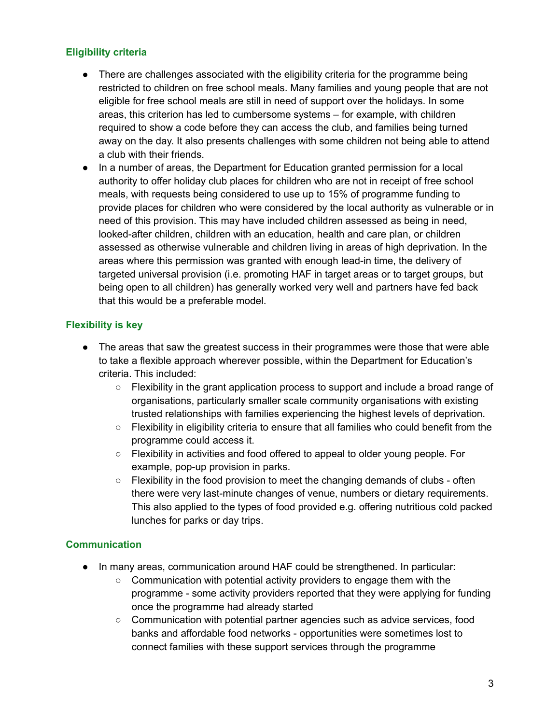## **Eligibility criteria**

- There are challenges associated with the eligibility criteria for the programme being restricted to children on free school meals. Many families and young people that are not eligible for free school meals are still in need of support over the holidays. In some areas, this criterion has led to cumbersome systems – for example, with children required to show a code before they can access the club, and families being turned away on the day. It also presents challenges with some children not being able to attend a club with their friends.
- In a number of areas, the Department for Education granted permission for a local authority to offer holiday club places for children who are not in receipt of free school meals, with requests being considered to use up to 15% of programme funding to provide places for children who were considered by the local authority as vulnerable or in need of this provision. This may have included children assessed as being in need, looked-after children, children with an education, health and care plan, or children assessed as otherwise vulnerable and children living in areas of high deprivation. In the areas where this permission was granted with enough lead-in time, the delivery of targeted universal provision (i.e. promoting HAF in target areas or to target groups, but being open to all children) has generally worked very well and partners have fed back that this would be a preferable model.

#### **Flexibility is key**

- The areas that saw the greatest success in their programmes were those that were able to take a flexible approach wherever possible, within the Department for Education's criteria. This included:
	- Flexibility in the grant application process to support and include a broad range of organisations, particularly smaller scale community organisations with existing trusted relationships with families experiencing the highest levels of deprivation.
	- $\circ$  Flexibility in eligibility criteria to ensure that all families who could benefit from the programme could access it.
	- Flexibility in activities and food offered to appeal to older young people. For example, pop-up provision in parks.
	- $\circ$  Flexibility in the food provision to meet the changing demands of clubs often there were very last-minute changes of venue, numbers or dietary requirements. This also applied to the types of food provided e.g. offering nutritious cold packed lunches for parks or day trips.

#### **Communication**

- In many areas, communication around HAF could be strengthened. In particular:
	- Communication with potential activity providers to engage them with the programme - some activity providers reported that they were applying for funding once the programme had already started
	- Communication with potential partner agencies such as advice services, food banks and affordable food networks - opportunities were sometimes lost to connect families with these support services through the programme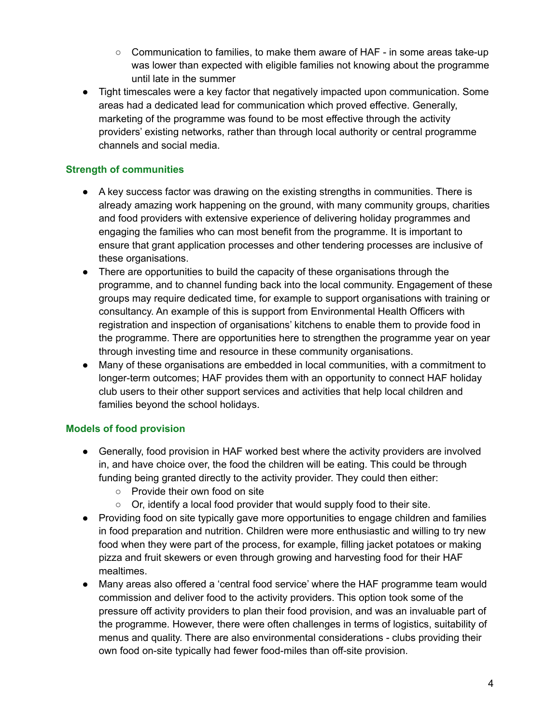- Communication to families, to make them aware of HAF in some areas take-up was lower than expected with eligible families not knowing about the programme until late in the summer
- Tight timescales were a key factor that negatively impacted upon communication. Some areas had a dedicated lead for communication which proved effective. Generally, marketing of the programme was found to be most effective through the activity providers' existing networks, rather than through local authority or central programme channels and social media.

# **Strength of communities**

- A key success factor was drawing on the existing strengths in communities. There is already amazing work happening on the ground, with many community groups, charities and food providers with extensive experience of delivering holiday programmes and engaging the families who can most benefit from the programme. It is important to ensure that grant application processes and other tendering processes are inclusive of these organisations.
- There are opportunities to build the capacity of these organisations through the programme, and to channel funding back into the local community. Engagement of these groups may require dedicated time, for example to support organisations with training or consultancy. An example of this is support from Environmental Health Officers with registration and inspection of organisations' kitchens to enable them to provide food in the programme. There are opportunities here to strengthen the programme year on year through investing time and resource in these community organisations.
- Many of these organisations are embedded in local communities, with a commitment to longer-term outcomes; HAF provides them with an opportunity to connect HAF holiday club users to their other support services and activities that help local children and families beyond the school holidays.

## **Models of food provision**

- Generally, food provision in HAF worked best where the activity providers are involved in, and have choice over, the food the children will be eating. This could be through funding being granted directly to the activity provider. They could then either:
	- Provide their own food on site
	- Or, identify a local food provider that would supply food to their site.
- Providing food on site typically gave more opportunities to engage children and families in food preparation and nutrition. Children were more enthusiastic and willing to try new food when they were part of the process, for example, filling jacket potatoes or making pizza and fruit skewers or even through growing and harvesting food for their HAF mealtimes.
- Many areas also offered a 'central food service' where the HAF programme team would commission and deliver food to the activity providers. This option took some of the pressure off activity providers to plan their food provision, and was an invaluable part of the programme. However, there were often challenges in terms of logistics, suitability of menus and quality. There are also environmental considerations - clubs providing their own food on-site typically had fewer food-miles than off-site provision.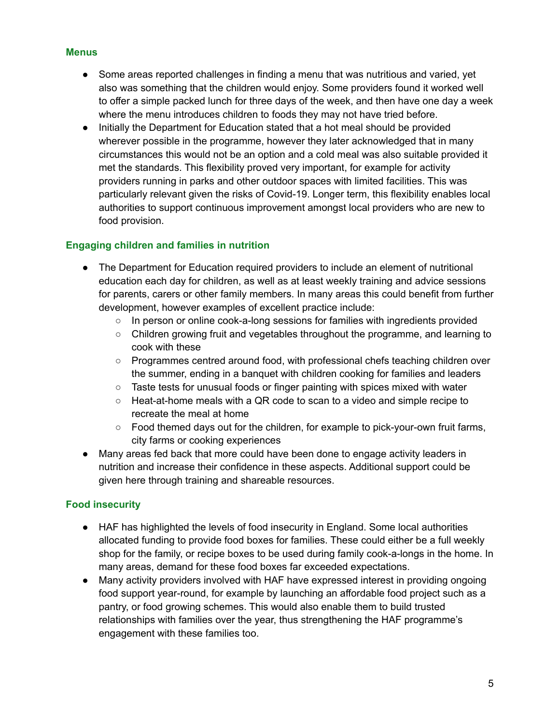#### **Menus**

- Some areas reported challenges in finding a menu that was nutritious and varied, yet also was something that the children would enjoy. Some providers found it worked well to offer a simple packed lunch for three days of the week, and then have one day a week where the menu introduces children to foods they may not have tried before.
- Initially the Department for Education stated that a hot meal should be provided wherever possible in the programme, however they later acknowledged that in many circumstances this would not be an option and a cold meal was also suitable provided it met the standards. This flexibility proved very important, for example for activity providers running in parks and other outdoor spaces with limited facilities. This was particularly relevant given the risks of Covid-19. Longer term, this flexibility enables local authorities to support continuous improvement amongst local providers who are new to food provision.

## **Engaging children and families in nutrition**

- The Department for Education required providers to include an element of nutritional education each day for children, as well as at least weekly training and advice sessions for parents, carers or other family members. In many areas this could benefit from further development, however examples of excellent practice include:
	- In person or online cook-a-long sessions for families with ingredients provided
	- Children growing fruit and vegetables throughout the programme, and learning to cook with these
	- Programmes centred around food, with professional chefs teaching children over the summer, ending in a banquet with children cooking for families and leaders
	- $\circ$  Taste tests for unusual foods or finger painting with spices mixed with water
	- $\circ$  Heat-at-home meals with a QR code to scan to a video and simple recipe to recreate the meal at home
	- $\circ$  Food themed days out for the children, for example to pick-your-own fruit farms, city farms or cooking experiences
- Many areas fed back that more could have been done to engage activity leaders in nutrition and increase their confidence in these aspects. Additional support could be given here through training and shareable resources.

## **Food insecurity**

- HAF has highlighted the levels of food insecurity in England. Some local authorities allocated funding to provide food boxes for families. These could either be a full weekly shop for the family, or recipe boxes to be used during family cook-a-longs in the home. In many areas, demand for these food boxes far exceeded expectations.
- Many activity providers involved with HAF have expressed interest in providing ongoing food support year-round, for example by launching an affordable food project such as a pantry, or food growing schemes. This would also enable them to build trusted relationships with families over the year, thus strengthening the HAF programme's engagement with these families too.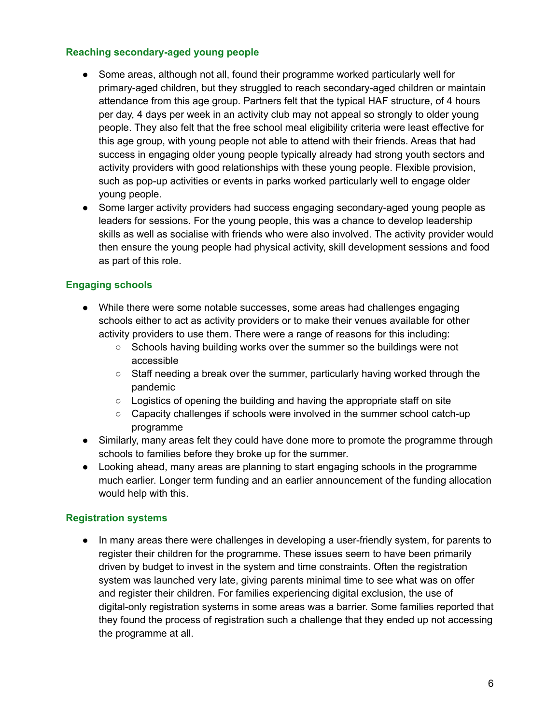#### **Reaching secondary-aged young people**

- Some areas, although not all, found their programme worked particularly well for primary-aged children, but they struggled to reach secondary-aged children or maintain attendance from this age group. Partners felt that the typical HAF structure, of 4 hours per day, 4 days per week in an activity club may not appeal so strongly to older young people. They also felt that the free school meal eligibility criteria were least effective for this age group, with young people not able to attend with their friends. Areas that had success in engaging older young people typically already had strong youth sectors and activity providers with good relationships with these young people. Flexible provision, such as pop-up activities or events in parks worked particularly well to engage older young people.
- Some larger activity providers had success engaging secondary-aged young people as leaders for sessions. For the young people, this was a chance to develop leadership skills as well as socialise with friends who were also involved. The activity provider would then ensure the young people had physical activity, skill development sessions and food as part of this role.

## **Engaging schools**

- While there were some notable successes, some areas had challenges engaging schools either to act as activity providers or to make their venues available for other activity providers to use them. There were a range of reasons for this including:
	- Schools having building works over the summer so the buildings were not accessible
	- Staff needing a break over the summer, particularly having worked through the pandemic
	- Logistics of opening the building and having the appropriate staff on site
	- Capacity challenges if schools were involved in the summer school catch-up programme
- Similarly, many areas felt they could have done more to promote the programme through schools to families before they broke up for the summer.
- Looking ahead, many areas are planning to start engaging schools in the programme much earlier. Longer term funding and an earlier announcement of the funding allocation would help with this.

## **Registration systems**

● In many areas there were challenges in developing a user-friendly system, for parents to register their children for the programme. These issues seem to have been primarily driven by budget to invest in the system and time constraints. Often the registration system was launched very late, giving parents minimal time to see what was on offer and register their children. For families experiencing digital exclusion, the use of digital-only registration systems in some areas was a barrier. Some families reported that they found the process of registration such a challenge that they ended up not accessing the programme at all.